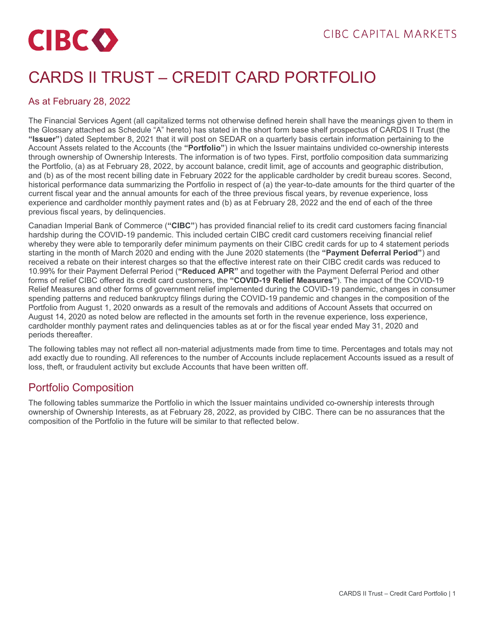# **CIBCO**

# CARDS II TRUST – CREDIT CARD PORTFOLIO

#### As at February 28, 2022

The Financial Services Agent (all capitalized terms not otherwise defined herein shall have the meanings given to them in the Glossary attached as Schedule "A" hereto) has stated in the short form base shelf prospectus of CARDS II Trust (the **"Issuer"**) dated September 8, 2021 that it will post on SEDAR on a quarterly basis certain information pertaining to the Account Assets related to the Accounts (the **"Portfolio"**) in which the Issuer maintains undivided co-ownership interests through ownership of Ownership Interests. The information is of two types. First, portfolio composition data summarizing the Portfolio, (a) as at February 28, 2022, by account balance, credit limit, age of accounts and geographic distribution, and (b) as of the most recent billing date in February 2022 for the applicable cardholder by credit bureau scores. Second, historical performance data summarizing the Portfolio in respect of (a) the year-to-date amounts for the third quarter of the current fiscal year and the annual amounts for each of the three previous fiscal years, by revenue experience, loss experience and cardholder monthly payment rates and (b) as at February 28, 2022 and the end of each of the three previous fiscal years, by delinquencies.

Canadian Imperial Bank of Commerce (**"CIBC"**) has provided financial relief to its credit card customers facing financial hardship during the COVID-19 pandemic. This included certain CIBC credit card customers receiving financial relief whereby they were able to temporarily defer minimum payments on their CIBC credit cards for up to 4 statement periods starting in the month of March 2020 and ending with the June 2020 statements (the **"Payment Deferral Period"**) and received a rebate on their interest charges so that the effective interest rate on their CIBC credit cards was reduced to 10.99% for their Payment Deferral Period (**"Reduced APR"** and together with the Payment Deferral Period and other forms of relief CIBC offered its credit card customers, the **"COVID-19 Relief Measures"**). The impact of the COVID-19 Relief Measures and other forms of government relief implemented during the COVID-19 pandemic, changes in consumer spending patterns and reduced bankruptcy filings during the COVID-19 pandemic and changes in the composition of the Portfolio from August 1, 2020 onwards as a result of the removals and additions of Account Assets that occurred on August 14, 2020 as noted below are reflected in the amounts set forth in the revenue experience, loss experience, cardholder monthly payment rates and delinquencies tables as at or for the fiscal year ended May 31, 2020 and periods thereafter.

The following tables may not reflect all non-material adjustments made from time to time. Percentages and totals may not add exactly due to rounding. All references to the number of Accounts include replacement Accounts issued as a result of loss, theft, or fraudulent activity but exclude Accounts that have been written off.

# Portfolio Composition

The following tables summarize the Portfolio in which the Issuer maintains undivided co-ownership interests through ownership of Ownership Interests, as at February 28, 2022, as provided by CIBC. There can be no assurances that the composition of the Portfolio in the future will be similar to that reflected below.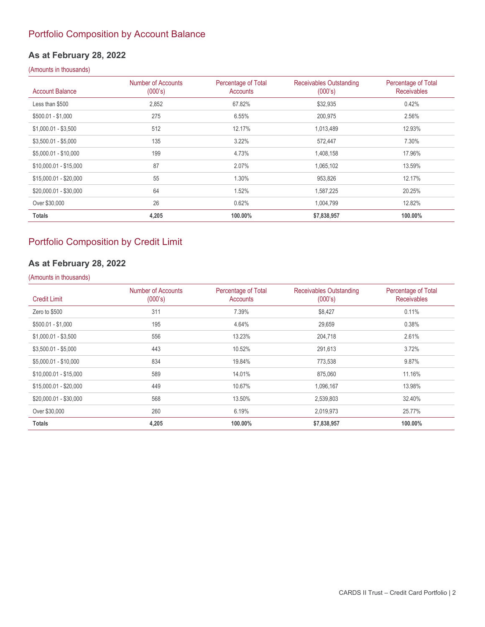#### Portfolio Composition by Account Balance

#### **As at February 28, 2022**

#### (Amounts in thousands)

| <b>Account Balance</b> | Number of Accounts<br>(000's) | Percentage of Total<br><b>Accounts</b> | Receivables Outstanding<br>(000's) | Percentage of Total<br><b>Receivables</b> |
|------------------------|-------------------------------|----------------------------------------|------------------------------------|-------------------------------------------|
| Less than \$500        | 2,852                         | 67.82%                                 | \$32,935                           | 0.42%                                     |
| $$500.01 - $1,000$     | 275                           | 6.55%                                  | 200,975                            | 2.56%                                     |
| $$1,000.01 - $3,500$   | 512                           | 12.17%                                 | 1,013,489                          | 12.93%                                    |
| $$3,500.01 - $5,000$   | 135                           | 3.22%                                  | 572,447                            | 7.30%                                     |
| \$5,000.01 - \$10,000  | 199                           | 4.73%                                  | 1,408,158                          | 17.96%                                    |
| $$10,000.01 - $15,000$ | 87                            | 2.07%                                  | 1,065,102                          | 13.59%                                    |
| $$15,000.01 - $20,000$ | 55                            | 1.30%                                  | 953,826                            | 12.17%                                    |
| \$20,000.01 - \$30,000 | 64                            | 1.52%                                  | 1,587,225                          | 20.25%                                    |
| Over \$30,000          | 26                            | 0.62%                                  | 1,004,799                          | 12.82%                                    |
| <b>Totals</b>          | 4,205                         | 100.00%                                | \$7,838,957                        | 100.00%                                   |

#### Portfolio Composition by Credit Limit

# **As at February 28, 2022**

| <b>Credit Limit</b>    | Number of Accounts<br>(000's) | Percentage of Total<br>Accounts | <b>Receivables Outstanding</b><br>(000's) | Percentage of Total<br><b>Receivables</b> |
|------------------------|-------------------------------|---------------------------------|-------------------------------------------|-------------------------------------------|
| Zero to \$500          | 311                           | 7.39%                           | \$8,427                                   | 0.11%                                     |
| \$500.01 - \$1,000     | 195                           | 4.64%                           | 29,659                                    | 0.38%                                     |
| $$1,000.01 - $3,500$   | 556                           | 13.23%                          | 204,718                                   | 2.61%                                     |
| $$3,500.01 - $5,000$   | 443                           | 10.52%                          | 291,613                                   | 3.72%                                     |
| \$5,000.01 - \$10,000  | 834                           | 19.84%                          | 773,538                                   | 9.87%                                     |
| \$10,000.01 - \$15,000 | 589                           | 14.01%                          | 875,060                                   | 11.16%                                    |
| \$15,000.01 - \$20,000 | 449                           | 10.67%                          | 1,096,167                                 | 13.98%                                    |
| \$20,000.01 - \$30,000 | 568                           | 13.50%                          | 2,539,803                                 | 32.40%                                    |
| Over \$30,000          | 260                           | 6.19%                           | 2,019,973                                 | 25.77%                                    |
| <b>Totals</b>          | 4,205                         | 100.00%                         | \$7,838,957                               | 100.00%                                   |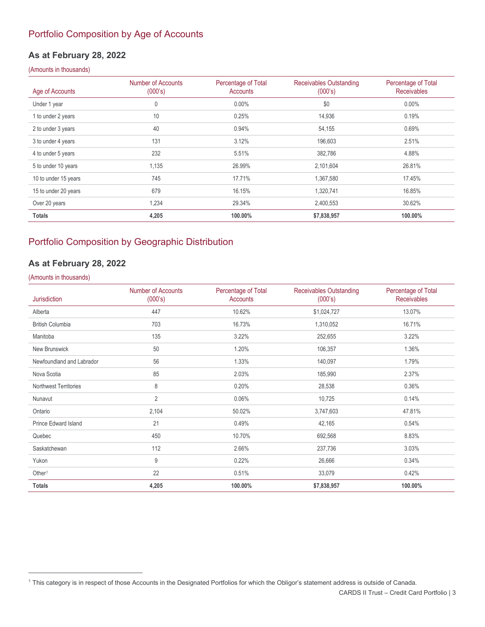#### Portfolio Composition by Age of Accounts

#### **As at February 28, 2022**

#### (Amounts in thousands)

| Age of Accounts      | Number of Accounts<br>(000's) | Percentage of Total<br>Accounts | Receivables Outstanding<br>(000's) | Percentage of Total<br><b>Receivables</b> |
|----------------------|-------------------------------|---------------------------------|------------------------------------|-------------------------------------------|
| Under 1 year         | 0                             | $0.00\%$                        | \$0                                | $0.00\%$                                  |
| 1 to under 2 years   | 10                            | 0.25%                           | 14,936                             | 0.19%                                     |
| 2 to under 3 years   | 40                            | 0.94%                           | 54,155                             | 0.69%                                     |
| 3 to under 4 years   | 131                           | 3.12%                           | 196,603                            | 2.51%                                     |
| 4 to under 5 years   | 232                           | 5.51%                           | 382,786                            | 4.88%                                     |
| 5 to under 10 years  | 1,135                         | 26.99%                          | 2,101,604                          | 26.81%                                    |
| 10 to under 15 years | 745                           | 17.71%                          | 1,367,580                          | 17.45%                                    |
| 15 to under 20 years | 679                           | 16.15%                          | 1,320,741                          | 16.85%                                    |
| Over 20 years        | 1,234                         | 29.34%                          | 2,400,553                          | 30.62%                                    |
| <b>Totals</b>        | 4,205                         | 100.00%                         | \$7,838,957                        | 100.00%                                   |

#### Portfolio Composition by Geographic Distribution

# **As at February 28, 2022**

| Jurisdiction                 | Number of Accounts<br>(000's) | Percentage of Total<br>Accounts | <b>Receivables Outstanding</b><br>(000's) | Percentage of Total<br><b>Receivables</b> |
|------------------------------|-------------------------------|---------------------------------|-------------------------------------------|-------------------------------------------|
| Alberta                      | 447                           | 10.62%                          | \$1,024,727                               | 13.07%                                    |
| <b>British Columbia</b>      | 703                           | 16.73%                          | 1,310,052                                 | 16.71%                                    |
| Manitoba                     | 135                           | 3.22%                           | 252,655                                   | 3.22%                                     |
| New Brunswick                | 50                            | 1.20%                           | 106,357                                   | 1.36%                                     |
| Newfoundland and Labrador    | 56                            | 1.33%                           | 140,097                                   | 1.79%                                     |
| Nova Scotia                  | 85                            | 2.03%                           | 185,990                                   | 2.37%                                     |
| <b>Northwest Territories</b> | 8                             | 0.20%                           | 28,538                                    | 0.36%                                     |
| Nunavut                      | 2                             | 0.06%                           | 10,725                                    | 0.14%                                     |
| Ontario                      | 2,104                         | 50.02%                          | 3,747,603                                 | 47.81%                                    |
| <b>Prince Edward Island</b>  | 21                            | 0.49%                           | 42,165                                    | 0.54%                                     |
| Quebec                       | 450                           | 10.70%                          | 692,568                                   | 8.83%                                     |
| Saskatchewan                 | 112                           | 2.66%                           | 237,736                                   | 3.03%                                     |
| Yukon                        | 9                             | 0.22%                           | 26,666                                    | 0.34%                                     |
| Other <sup>1</sup>           | 22                            | 0.51%                           | 33,079                                    | 0.42%                                     |
| <b>Totals</b>                | 4,205                         | 100.00%                         | \$7,838,957                               | 100.00%                                   |

<span id="page-2-0"></span><sup>1</sup> This category is in respect of those Accounts in the Designated Portfolios for which the Obligor's statement address is outside of Canada.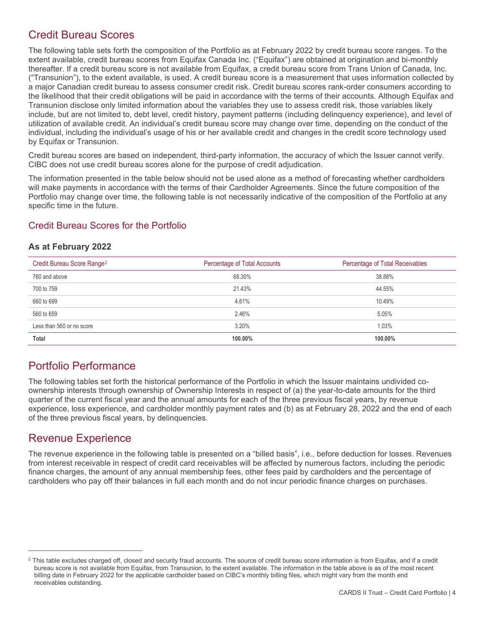# Credit Bureau Scores

The following table sets forth the composition of the Portfolio as at February 2022 by credit bureau score ranges. To the extent available, credit bureau scores from Equifax Canada Inc. ("Equifax") are obtained at origination and bi-monthly thereafter. If a credit bureau score is not available from Equifax, a credit bureau score from Trans Union of Canada, Inc. ("Transunion"), to the extent available, is used. A credit bureau score is a measurement that uses information collected by a major Canadian credit bureau to assess consumer credit risk. Credit bureau scores rank-order consumers according to the likelihood that their credit obligations will be paid in accordance with the terms of their accounts. Although Equifax and Transunion disclose only limited information about the variables they use to assess credit risk, those variables likely include, but are not limited to, debt level, credit history, payment patterns (including delinquency experience), and level of utilization of available credit. An individual's credit bureau score may change over time, depending on the conduct of the individual, including the individual's usage of his or her available credit and changes in the credit score technology used by Equifax or Transunion.

Credit bureau scores are based on independent, third-party information, the accuracy of which the Issuer cannot verify. CIBC does not use credit bureau scores alone for the purpose of credit adjudication.

The information presented in the table below should not be used alone as a method of forecasting whether cardholders will make payments in accordance with the terms of their Cardholder Agreements. Since the future composition of the Portfolio may change over time, the following table is not necessarily indicative of the composition of the Portfolio at any specific time in the future.

#### Credit Bureau Scores for the Portfolio

#### **As at February 2022**

| Credit Bureau Score Range <sup>2</sup> | Percentage of Total Accounts | Percentage of Total Receivables |
|----------------------------------------|------------------------------|---------------------------------|
| 760 and above                          | 68.30%                       | 38.88%                          |
| 700 to 759                             | 21.43%                       | 44.55%                          |
| 660 to 699                             | 4.61%                        | 10.49%                          |
| 560 to 659                             | 2.46%                        | 5.05%                           |
| Less than 560 or no score              | 3.20%                        | 1.03%                           |
| Total                                  | 100.00%                      | 100.00%                         |

# Portfolio Performance

The following tables set forth the historical performance of the Portfolio in which the Issuer maintains undivided coownership interests through ownership of Ownership Interests in respect of (a) the year-to-date amounts for the third quarter of the current fiscal year and the annual amounts for each of the three previous fiscal years, by revenue experience, loss experience, and cardholder monthly payment rates and (b) as at February 28, 2022 and the end of each of the three previous fiscal years, by delinquencies.

# Revenue Experience

The revenue experience in the following table is presented on a "billed basis", i.e., before deduction for losses. Revenues from interest receivable in respect of credit card receivables will be affected by numerous factors, including the periodic finance charges, the amount of any annual membership fees, other fees paid by cardholders and the percentage of cardholders who pay off their balances in full each month and do not incur periodic finance charges on purchases.

<span id="page-3-0"></span><sup>&</sup>lt;sup>2</sup> This table excludes charged off, closed and security fraud accounts. The source of credit bureau score information is from Equifax, and if a credit bureau score is not available from Equifax, from Transunion, to the extent available. The information in the table above is as of the most recent billing date in February 2022 for the applicable cardholder based on CIBC's monthly billing files, which might vary from the month end receivables outstanding.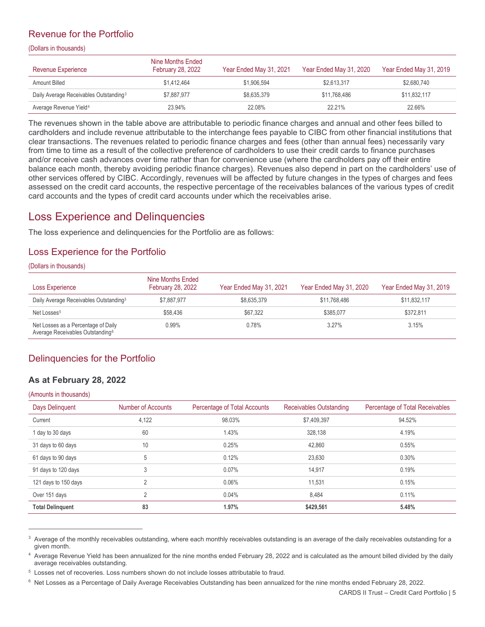#### Revenue for the Portfolio

(Dollars in thousands)

| Revenue Experience                                 | Nine Months Ended<br><b>February 28, 2022</b> | Year Ended May 31, 2021 | Year Ended May 31, 2020 | Year Ended May 31, 2019 |
|----------------------------------------------------|-----------------------------------------------|-------------------------|-------------------------|-------------------------|
| Amount Billed                                      | \$1,412,464                                   | \$1,906.594             | \$2.613.317             | \$2,680.740             |
| Daily Average Receivables Outstanding <sup>3</sup> | \$7.887.977                                   | \$8.635.379             | \$11.768.486            | \$11,832,117            |
| Average Revenue Yield <sup>4</sup>                 | 23.94%                                        | 22.08%                  | 22.21%                  | 22.66%                  |

<span id="page-4-0"></span>The revenues shown in the table above are attributable to periodic finance charges and annual and other fees billed to cardholders and include revenue attributable to the interchange fees payable to CIBC from other financial institutions that clear transactions. The revenues related to periodic finance charges and fees (other than annual fees) necessarily vary from time to time as a result of the collective preference of cardholders to use their credit cards to finance purchases and/or receive cash advances over time rather than for convenience use (where the cardholders pay off their entire balance each month, thereby avoiding periodic finance charges). Revenues also depend in part on the cardholders' use of other services offered by CIBC. Accordingly, revenues will be affected by future changes in the types of charges and fees assessed on the credit card accounts, the respective percentage of the receivables balances of the various types of credit card accounts and the types of credit card accounts under which the receivables arise.

# Loss Experience and Delinquencies

The loss experience and delinquencies for the Portfolio are as follows:

#### Loss Experience for the Portfolio

#### (Dollars in thousands)

| Loss Experience                                                                     | Nine Months Ended<br><b>February 28, 2022</b> | Year Ended May 31, 2021 | Year Ended May 31, 2020 | Year Ended May 31, 2019 |
|-------------------------------------------------------------------------------------|-----------------------------------------------|-------------------------|-------------------------|-------------------------|
| Daily Average Receivables Outstanding <sup>3</sup>                                  | \$7,887,977                                   | \$8.635.379             | \$11.768.486            | \$11,832,117            |
| Net Losses <sup>5</sup>                                                             | \$58.436                                      | \$67.322                | \$385.077               | \$372.811               |
| Net Losses as a Percentage of Daily<br>Average Receivables Outstanding <sup>6</sup> | $0.99\%$                                      | 0.78%                   | $3.27\%$                | 3.15%                   |

#### Delinquencies for the Portfolio

#### **As at February 28, 2022**

| Days Delinquent         | Number of Accounts | Percentage of Total Accounts | <b>Receivables Outstanding</b> | Percentage of Total Receivables |
|-------------------------|--------------------|------------------------------|--------------------------------|---------------------------------|
| Current                 | 4,122              | 98.03%                       | \$7,409,397                    | 94.52%                          |
| 1 day to 30 days        | 60                 | 1.43%                        | 328,138                        | 4.19%                           |
| 31 days to 60 days      | 10                 | 0.25%                        | 42,860                         | 0.55%                           |
| 61 days to 90 days      | 5                  | 0.12%                        | 23.630                         | 0.30%                           |
| 91 days to 120 days     | 3                  | 0.07%                        | 14,917                         | 0.19%                           |
| 121 days to 150 days    | 2                  | 0.06%                        | 11.531                         | 0.15%                           |
| Over 151 days           | っ                  | 0.04%                        | 8.484                          | 0.11%                           |
| <b>Total Delinguent</b> | 83                 | 1.97%                        | \$429,561                      | 5.48%                           |

<span id="page-4-1"></span><sup>&</sup>lt;sup>3</sup> Average of the monthly receivables outstanding, where each monthly receivables outstanding is an average of the daily receivables outstanding for a given month.

<span id="page-4-2"></span><sup>4</sup> Average Revenue Yield has been annualized for the nine months ended February 28, 2022 and is calculated as the amount billed divided by the daily average receivables outstanding.

<span id="page-4-3"></span><sup>5</sup> Losses net of recoveries. Loss numbers shown do not include losses attributable to fraud.

<span id="page-4-4"></span> $6$  Net Losses as a Percentage of Daily Average Receivables Outstanding has been annualized for the nine months ended February 28, 2022.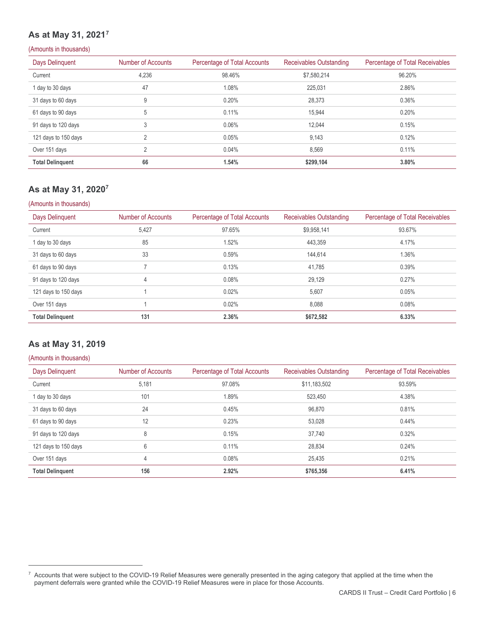# <span id="page-5-0"></span>**As at May 31, 2021[7](#page-5-1)**

#### (Amounts in thousands)

| <b>Days Delinquent</b>  | Number of Accounts | Percentage of Total Accounts | <b>Receivables Outstanding</b> | Percentage of Total Receivables |
|-------------------------|--------------------|------------------------------|--------------------------------|---------------------------------|
| Current                 | 4,236              | 98.46%                       | \$7,580,214                    | 96.20%                          |
| 1 day to 30 days        | 47                 | $1.08\%$                     | 225,031                        | 2.86%                           |
| 31 days to 60 days      | 9                  | 0.20%                        | 28,373                         | 0.36%                           |
| 61 days to 90 days      | 5                  | 0.11%                        | 15,944                         | 0.20%                           |
| 91 days to 120 days     | 3                  | $0.06\%$                     | 12.044                         | 0.15%                           |
| 121 days to 150 days    | $\overline{2}$     | 0.05%                        | 9,143                          | 0.12%                           |
| Over 151 days           | 2                  | 0.04%                        | 8,569                          | 0.11%                           |
| <b>Total Delinquent</b> | 66                 | 1.54%                        | \$299.104                      | 3.80%                           |

#### **As at May 31, 202[07](#page-5-0)**

#### (Amounts in thousands)

| Days Delinguent         | Number of Accounts | Percentage of Total Accounts | <b>Receivables Outstanding</b> | Percentage of Total Receivables |
|-------------------------|--------------------|------------------------------|--------------------------------|---------------------------------|
| Current                 | 5,427              | 97.65%                       | \$9,958,141                    | 93.67%                          |
| 1 day to 30 days        | 85                 | 1.52%                        | 443,359                        | 4.17%                           |
| 31 days to 60 days      | 33                 | 0.59%                        | 144,614                        | 1.36%                           |
| 61 days to 90 days      | ⇁                  | 0.13%                        | 41,785                         | 0.39%                           |
| 91 days to 120 days     | 4                  | 0.08%                        | 29,129                         | 0.27%                           |
| 121 days to 150 days    |                    | 0.02%                        | 5.607                          | 0.05%                           |
| Over 151 days           |                    | 0.02%                        | 8,088                          | 0.08%                           |
| <b>Total Delinguent</b> | 131                | 2.36%                        | \$672,582                      | 6.33%                           |

#### **As at May 31, 2019**

| Days Delinquent         | Number of Accounts | Percentage of Total Accounts | Receivables Outstanding | Percentage of Total Receivables |
|-------------------------|--------------------|------------------------------|-------------------------|---------------------------------|
| Current                 | 5,181              | 97.08%                       | \$11,183,502            | 93.59%                          |
| 1 day to 30 days        | 101                | .89%                         | 523.450                 | 4.38%                           |
| 31 days to 60 days      | 24                 | 0.45%                        | 96.870                  | 0.81%                           |
| 61 days to 90 days      | 12                 | 0.23%                        | 53,028                  | 0.44%                           |
| 91 days to 120 days     | 8                  | 0.15%                        | 37.740                  | 0.32%                           |
| 121 days to 150 days    | 6                  | 0.11%                        | 28.834                  | 0.24%                           |
| Over 151 days           | 4                  | 0.08%                        | 25.435                  | 0.21%                           |
| <b>Total Delinguent</b> | 156                | 2.92%                        | \$765,356               | 6.41%                           |

<span id="page-5-1"></span><sup>&</sup>lt;sup>7</sup> Accounts that were subject to the COVID-19 Relief Measures were generally presented in the aging category that applied at the time when the payment deferrals were granted while the COVID-19 Relief Measures were in place for those Accounts.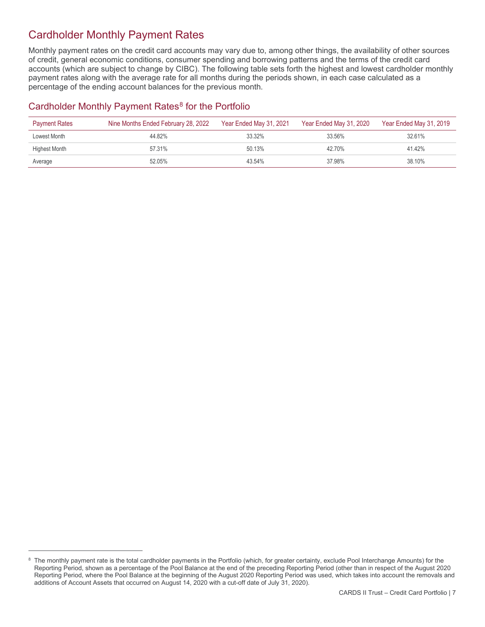# Cardholder Monthly Payment Rates

Monthly payment rates on the credit card accounts may vary due to, among other things, the availability of other sources of credit, general economic conditions, consumer spending and borrowing patterns and the terms of the credit card accounts (which are subject to change by CIBC). The following table sets forth the highest and lowest cardholder monthly payment rates along with the average rate for all months during the periods shown, in each case calculated as a percentage of the ending account balances for the previous month.

#### Cardholder Monthly Payment Rates<sup>[8](#page-6-0)</sup> for the Portfolio

| <b>Payment Rates</b> | Nine Months Ended February 28, 2022 | Year Ended May 31, 2021 | Year Ended May 31, 2020 | Year Ended May 31, 2019 |
|----------------------|-------------------------------------|-------------------------|-------------------------|-------------------------|
| Lowest Month         | 44.82%                              | 33.32%                  | 33.56%                  | 32.61%                  |
| Highest Month        | 57.31%                              | 50.13%                  | 42.70%                  | 41.42%                  |
| Average              | 52.05%                              | 43.54%                  | 37.98%                  | 38.10%                  |

<span id="page-6-0"></span><sup>&</sup>lt;sup>8</sup> The monthly payment rate is the total cardholder payments in the Portfolio (which, for greater certainty, exclude Pool Interchange Amounts) for the Reporting Period, shown as a percentage of the Pool Balance at the end of the preceding Reporting Period (other than in respect of the August 2020 Reporting Period, where the Pool Balance at the beginning of the August 2020 Reporting Period was used, which takes into account the removals and additions of Account Assets that occurred on August 14, 2020 with a cut-off date of July 31, 2020).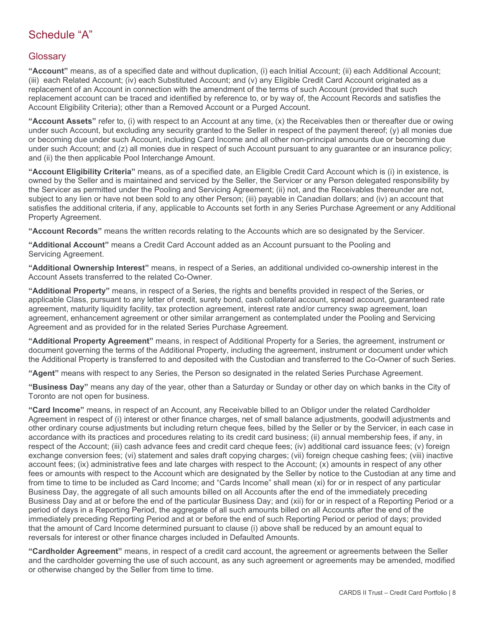# Schedule "A"

#### **Glossary**

**"Account"** means, as of a specified date and without duplication, (i) each Initial Account; (ii) each Additional Account; (iii) each Related Account; (iv) each Substituted Account; and (v) any Eligible Credit Card Account originated as a replacement of an Account in connection with the amendment of the terms of such Account (provided that such replacement account can be traced and identified by reference to, or by way of, the Account Records and satisfies the Account Eligibility Criteria); other than a Removed Account or a Purged Account.

**"Account Assets"** refer to, (i) with respect to an Account at any time, (x) the Receivables then or thereafter due or owing under such Account, but excluding any security granted to the Seller in respect of the payment thereof; (y) all monies due or becoming due under such Account, including Card Income and all other non-principal amounts due or becoming due under such Account; and (z) all monies due in respect of such Account pursuant to any guarantee or an insurance policy; and (ii) the then applicable Pool Interchange Amount.

**"Account Eligibility Criteria"** means, as of a specified date, an Eligible Credit Card Account which is (i) in existence, is owned by the Seller and is maintained and serviced by the Seller, the Servicer or any Person delegated responsibility by the Servicer as permitted under the Pooling and Servicing Agreement; (ii) not, and the Receivables thereunder are not, subject to any lien or have not been sold to any other Person; (iii) payable in Canadian dollars; and (iv) an account that satisfies the additional criteria, if any, applicable to Accounts set forth in any Series Purchase Agreement or any Additional Property Agreement.

**"Account Records"** means the written records relating to the Accounts which are so designated by the Servicer.

**"Additional Account"** means a Credit Card Account added as an Account pursuant to the Pooling and Servicing Agreement.

**"Additional Ownership Interest"** means, in respect of a Series, an additional undivided co-ownership interest in the Account Assets transferred to the related Co-Owner.

**"Additional Property"** means, in respect of a Series, the rights and benefits provided in respect of the Series, or applicable Class, pursuant to any letter of credit, surety bond, cash collateral account, spread account, guaranteed rate agreement, maturity liquidity facility, tax protection agreement, interest rate and/or currency swap agreement, loan agreement, enhancement agreement or other similar arrangement as contemplated under the Pooling and Servicing Agreement and as provided for in the related Series Purchase Agreement.

**"Additional Property Agreement"** means, in respect of Additional Property for a Series, the agreement, instrument or document governing the terms of the Additional Property, including the agreement, instrument or document under which the Additional Property is transferred to and deposited with the Custodian and transferred to the Co-Owner of such Series.

**"Agent"** means with respect to any Series, the Person so designated in the related Series Purchase Agreement.

**"Business Day"** means any day of the year, other than a Saturday or Sunday or other day on which banks in the City of Toronto are not open for business.

**"Card Income"** means, in respect of an Account, any Receivable billed to an Obligor under the related Cardholder Agreement in respect of (i) interest or other finance charges, net of small balance adjustments, goodwill adjustments and other ordinary course adjustments but including return cheque fees, billed by the Seller or by the Servicer, in each case in accordance with its practices and procedures relating to its credit card business; (ii) annual membership fees, if any, in respect of the Account; (iii) cash advance fees and credit card cheque fees; (iv) additional card issuance fees; (v) foreign exchange conversion fees; (vi) statement and sales draft copying charges; (vii) foreign cheque cashing fees; (viii) inactive account fees; (ix) administrative fees and late charges with respect to the Account; (x) amounts in respect of any other fees or amounts with respect to the Account which are designated by the Seller by notice to the Custodian at any time and from time to time to be included as Card Income; and "Cards Income" shall mean (xi) for or in respect of any particular Business Day, the aggregate of all such amounts billed on all Accounts after the end of the immediately preceding Business Day and at or before the end of the particular Business Day; and (xii) for or in respect of a Reporting Period or a period of days in a Reporting Period, the aggregate of all such amounts billed on all Accounts after the end of the immediately preceding Reporting Period and at or before the end of such Reporting Period or period of days; provided that the amount of Card Income determined pursuant to clause (i) above shall be reduced by an amount equal to reversals for interest or other finance charges included in Defaulted Amounts.

**"Cardholder Agreement"** means, in respect of a credit card account, the agreement or agreements between the Seller and the cardholder governing the use of such account, as any such agreement or agreements may be amended, modified or otherwise changed by the Seller from time to time.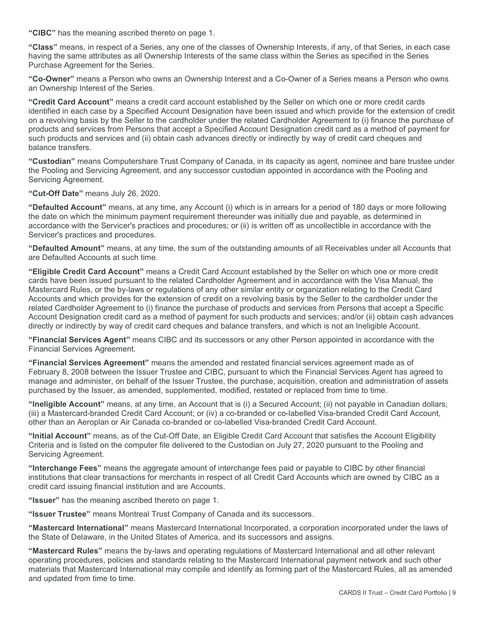**"CIBC"** has the meaning ascribed thereto on page 1.

**"Class"** means, in respect of a Series, any one of the classes of Ownership Interests, if any, of that Series, in each case having the same attributes as all Ownership Interests of the same class within the Series as specified in the Series Purchase Agreement for the Series.

**"Co-Owner"** means a Person who owns an Ownership Interest and a Co-Owner of a Series means a Person who owns an Ownership Interest of the Series.

**"Credit Card Account"** means a credit card account established by the Seller on which one or more credit cards identified in each case by a Specified Account Designation have been issued and which provide for the extension of credit on a revolving basis by the Seller to the cardholder under the related Cardholder Agreement to (i) finance the purchase of products and services from Persons that accept a Specified Account Designation credit card as a method of payment for such products and services and (ii) obtain cash advances directly or indirectly by way of credit card cheques and balance transfers.

**"Custodian"** means Computershare Trust Company of Canada, in its capacity as agent, nominee and bare trustee under the Pooling and Servicing Agreement, and any successor custodian appointed in accordance with the Pooling and Servicing Agreement.

#### **"Cut-Off Date"** means July 26, 2020.

**"Defaulted Account"** means, at any time, any Account (i) which is in arrears for a period of 180 days or more following the date on which the minimum payment requirement thereunder was initially due and payable, as determined in accordance with the Servicer's practices and procedures; or (ii) is written off as uncollectible in accordance with the Servicer's practices and procedures.

**"Defaulted Amount"** means, at any time, the sum of the outstanding amounts of all Receivables under all Accounts that are Defaulted Accounts at such time.

**"Eligible Credit Card Account"** means a Credit Card Account established by the Seller on which one or more credit cards have been issued pursuant to the related Cardholder Agreement and in accordance with the Visa Manual, the Mastercard Rules, or the by-laws or regulations of any other similar entity or organization relating to the Credit Card Accounts and which provides for the extension of credit on a revolving basis by the Seller to the cardholder under the related Cardholder Agreement to (i) finance the purchase of products and services from Persons that accept a Specific Account Designation credit card as a method of payment for such products and services; and/or (ii) obtain cash advances directly or indirectly by way of credit card cheques and balance transfers, and which is not an Ineligible Account.

**"Financial Services Agent"** means CIBC and its successors or any other Person appointed in accordance with the Financial Services Agreement.

**"Financial Services Agreement"** means the amended and restated financial services agreement made as of February 8, 2008 between the Issuer Trustee and CIBC, pursuant to which the Financial Services Agent has agreed to manage and administer, on behalf of the Issuer Trustee, the purchase, acquisition, creation and administration of assets purchased by the Issuer, as amended, supplemented, modified, restated or replaced from time to time.

**"Ineligible Account"** means, at any time, an Account that is (i) a Secured Account; (ii) not payable in Canadian dollars; (iii) a Mastercard-branded Credit Card Account; or (iv) a co-branded or co-labelled Visa-branded Credit Card Account, other than an Aeroplan or Air Canada co-branded or co-labelled Visa-branded Credit Card Account.

**"Initial Account"** means, as of the Cut-Off Date, an Eligible Credit Card Account that satisfies the Account Eligibility Criteria and is listed on the computer file delivered to the Custodian on July 27, 2020 pursuant to the Pooling and Servicing Agreement.

**"Interchange Fees"** means the aggregate amount of interchange fees paid or payable to CIBC by other financial institutions that clear transactions for merchants in respect of all Credit Card Accounts which are owned by CIBC as a credit card issuing financial institution and are Accounts.

**"Issuer"** has the meaning ascribed thereto on page 1.

**"Issuer Trustee"** means Montreal Trust Company of Canada and its successors.

**"Mastercard International"** means Mastercard International Incorporated, a corporation incorporated under the laws of the State of Delaware, in the United States of America, and its successors and assigns.

**"Mastercard Rules"** means the by-laws and operating regulations of Mastercard International and all other relevant operating procedures, policies and standards relating to the Mastercard International payment network and such other materials that Mastercard International may compile and identify as forming part of the Mastercard Rules, all as amended and updated from time to time.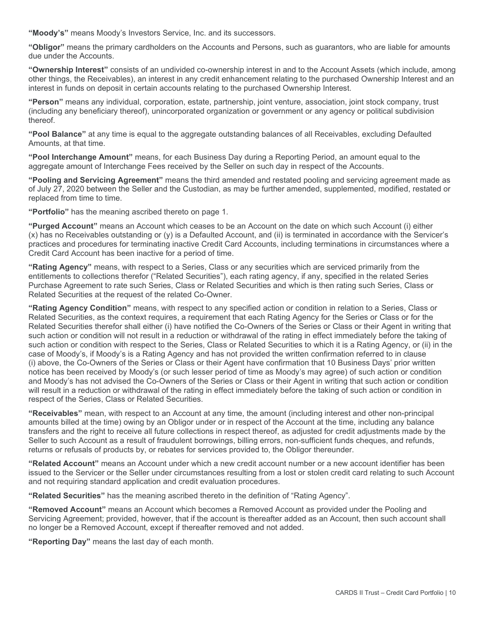**"Moody's"** means Moody's Investors Service, Inc. and its successors.

**"Obligor"** means the primary cardholders on the Accounts and Persons, such as guarantors, who are liable for amounts due under the Accounts.

**"Ownership Interest"** consists of an undivided co-ownership interest in and to the Account Assets (which include, among other things, the Receivables), an interest in any credit enhancement relating to the purchased Ownership Interest and an interest in funds on deposit in certain accounts relating to the purchased Ownership Interest.

**"Person"** means any individual, corporation, estate, partnership, joint venture, association, joint stock company, trust (including any beneficiary thereof), unincorporated organization or government or any agency or political subdivision thereof.

**"Pool Balance"** at any time is equal to the aggregate outstanding balances of all Receivables, excluding Defaulted Amounts, at that time.

**"Pool Interchange Amount"** means, for each Business Day during a Reporting Period, an amount equal to the aggregate amount of Interchange Fees received by the Seller on such day in respect of the Accounts.

**"Pooling and Servicing Agreement"** means the third amended and restated pooling and servicing agreement made as of July 27, 2020 between the Seller and the Custodian, as may be further amended, supplemented, modified, restated or replaced from time to time.

**"Portfolio"** has the meaning ascribed thereto on page 1.

**"Purged Account"** means an Account which ceases to be an Account on the date on which such Account (i) either (x) has no Receivables outstanding or (y) is a Defaulted Account, and (ii) is terminated in accordance with the Servicer's practices and procedures for terminating inactive Credit Card Accounts, including terminations in circumstances where a Credit Card Account has been inactive for a period of time.

**"Rating Agency"** means, with respect to a Series, Class or any securities which are serviced primarily from the entitlements to collections therefor ("Related Securities"), each rating agency, if any, specified in the related Series Purchase Agreement to rate such Series, Class or Related Securities and which is then rating such Series, Class or Related Securities at the request of the related Co-Owner.

**"Rating Agency Condition"** means, with respect to any specified action or condition in relation to a Series, Class or Related Securities, as the context requires, a requirement that each Rating Agency for the Series or Class or for the Related Securities therefor shall either (i) have notified the Co-Owners of the Series or Class or their Agent in writing that such action or condition will not result in a reduction or withdrawal of the rating in effect immediately before the taking of such action or condition with respect to the Series, Class or Related Securities to which it is a Rating Agency, or (ii) in the case of Moody's, if Moody's is a Rating Agency and has not provided the written confirmation referred to in clause (i) above, the Co-Owners of the Series or Class or their Agent have confirmation that 10 Business Days' prior written notice has been received by Moody's (or such lesser period of time as Moody's may agree) of such action or condition and Moody's has not advised the Co-Owners of the Series or Class or their Agent in writing that such action or condition will result in a reduction or withdrawal of the rating in effect immediately before the taking of such action or condition in respect of the Series, Class or Related Securities.

**"Receivables"** mean, with respect to an Account at any time, the amount (including interest and other non-principal amounts billed at the time) owing by an Obligor under or in respect of the Account at the time, including any balance transfers and the right to receive all future collections in respect thereof, as adjusted for credit adjustments made by the Seller to such Account as a result of fraudulent borrowings, billing errors, non-sufficient funds cheques, and refunds, returns or refusals of products by, or rebates for services provided to, the Obligor thereunder.

**"Related Account"** means an Account under which a new credit account number or a new account identifier has been issued to the Servicer or the Seller under circumstances resulting from a lost or stolen credit card relating to such Account and not requiring standard application and credit evaluation procedures.

**"Related Securities"** has the meaning ascribed thereto in the definition of "Rating Agency".

**"Removed Account"** means an Account which becomes a Removed Account as provided under the Pooling and Servicing Agreement; provided, however, that if the account is thereafter added as an Account, then such account shall no longer be a Removed Account, except if thereafter removed and not added.

**"Reporting Day"** means the last day of each month.